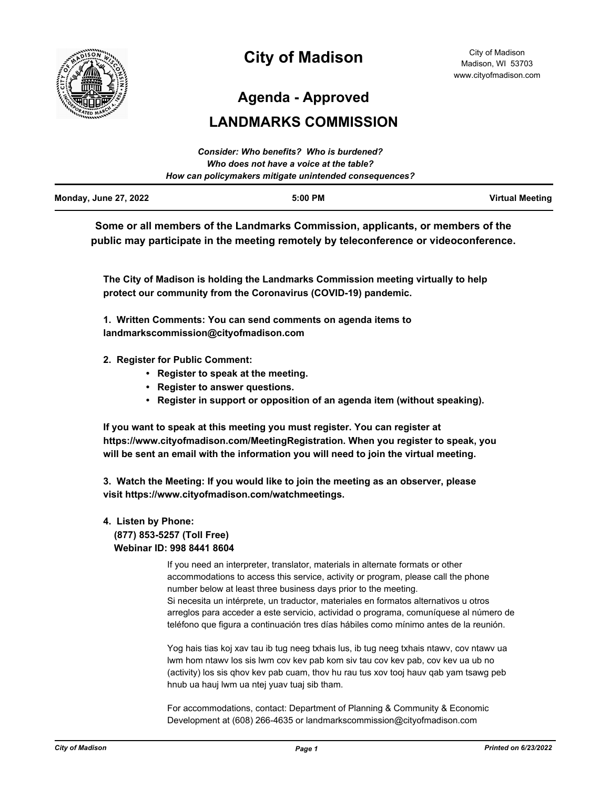

# **City of Madison**

**Agenda - Approved**

## **LANDMARKS COMMISSION**

|                              | Consider: Who benefits? Who is burdened?               |                        |
|------------------------------|--------------------------------------------------------|------------------------|
|                              | Who does not have a voice at the table?                |                        |
|                              | How can policymakers mitigate unintended consequences? |                        |
| <b>Monday, June 27, 2022</b> | $5:00$ PM                                              | <b>Virtual Meeting</b> |

**Some or all members of the Landmarks Commission, applicants, or members of the public may participate in the meeting remotely by teleconference or videoconference.**

**The City of Madison is holding the Landmarks Commission meeting virtually to help protect our community from the Coronavirus (COVID-19) pandemic.**

**1. Written Comments: You can send comments on agenda items to landmarkscommission@cityofmadison.com**

- **2. Register for Public Comment:** 
	- **Register to speak at the meeting.**
	- **Register to answer questions.**
	- **Register in support or opposition of an agenda item (without speaking).**

**If you want to speak at this meeting you must register. You can register at https://www.cityofmadison.com/MeetingRegistration. When you register to speak, you will be sent an email with the information you will need to join the virtual meeting.**

**3. Watch the Meeting: If you would like to join the meeting as an observer, please visit https://www.cityofmadison.com/watchmeetings.**

## **4. Listen by Phone: (877) 853-5257 (Toll Free) Webinar ID: 998 8441 8604**

If you need an interpreter, translator, materials in alternate formats or other accommodations to access this service, activity or program, please call the phone number below at least three business days prior to the meeting. Si necesita un intérprete, un traductor, materiales en formatos alternativos u otros arreglos para acceder a este servicio, actividad o programa, comuníquese al número de teléfono que figura a continuación tres días hábiles como mínimo antes de la reunión.

Yog hais tias koj xav tau ib tug neeg txhais lus, ib tug neeg txhais ntawv, cov ntawv ua lwm hom ntawv los sis lwm cov kev pab kom siv tau cov kev pab, cov kev ua ub no (activity) los sis qhov kev pab cuam, thov hu rau tus xov tooj hauv qab yam tsawg peb hnub ua hauj lwm ua ntej yuav tuaj sib tham.

For accommodations, contact: Department of Planning & Community & Economic Development at (608) 266-4635 or landmarkscommission@cityofmadison.com